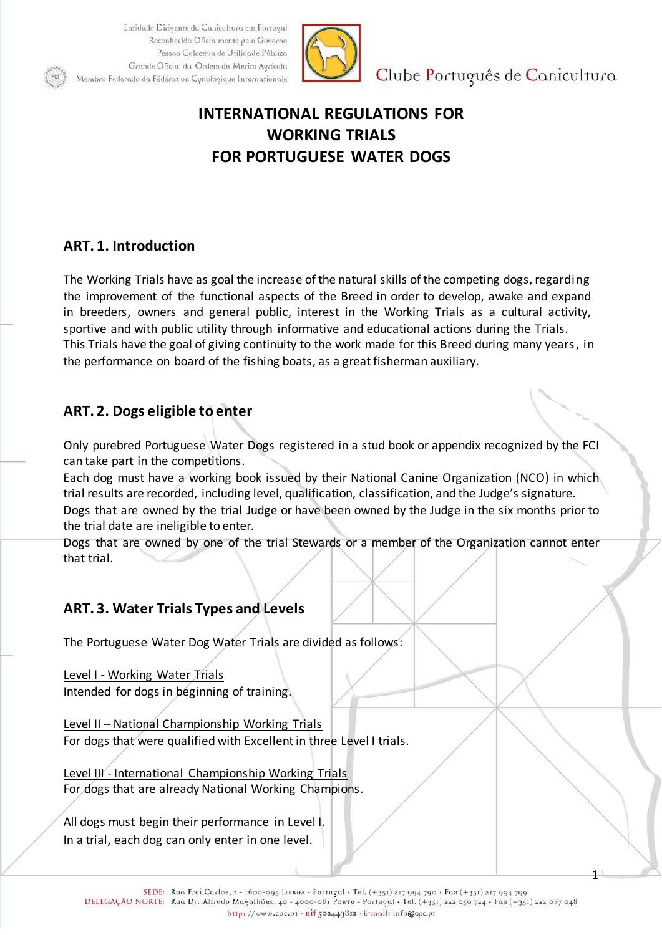

Clube Português de Canicultura

1

# **INTERNATIONAL REGULATIONS FOR WORKING TRIALS FOR PORTUGUESE WATER DOGS**

# **ART. 1. Introduction**

The Working Trials have as goal the increase of the natural skills of the competing dogs, regarding the improvement of the functional aspects of the Breed in order to develop, awake and expand in breeders, owners and general public, interest in the Working Trials as a cultural activity, sportive and with public utility through informative and educational actions during the Trials. This Trials have the goal of giving continuity to the work made for this Breed during many years, in the performance on board of the fishing boats, as a great fisherman auxiliary.

# **ART. 2. Dogs eligible to enter**

Only purebred Portuguese Water Dogs registered in a stud book or appendix recognized by the FCI can take part in the competitions.

Each dog must have a working book issued by their National Canine Organization (NCO) in which trial results are recorded, including level, qualification, classification, and the Judge's signature. Dogs that are owned by the trial Judge or have been owned by the Judge in the six months prior to the trial date are ineligible to enter.

Dogs that are owned by one of the trial Stewards or a member of the Organization cannot enter that trial.

# **ART. 3. Water Trials Types and Levels**

The Portuguese Water Dog Water Trials are divided as follows:

Level I - Working Water Trials Intended for dogs in beginning of training.

Level II – National Championship Working Trials For dogs that were qualified with Excellent in three Level I trials.

Level III - International Championship Working Trials For dogs that are already National Working Champions.

All dogs must begin their performance in Level I. In a trial, each dog can only enter in one level.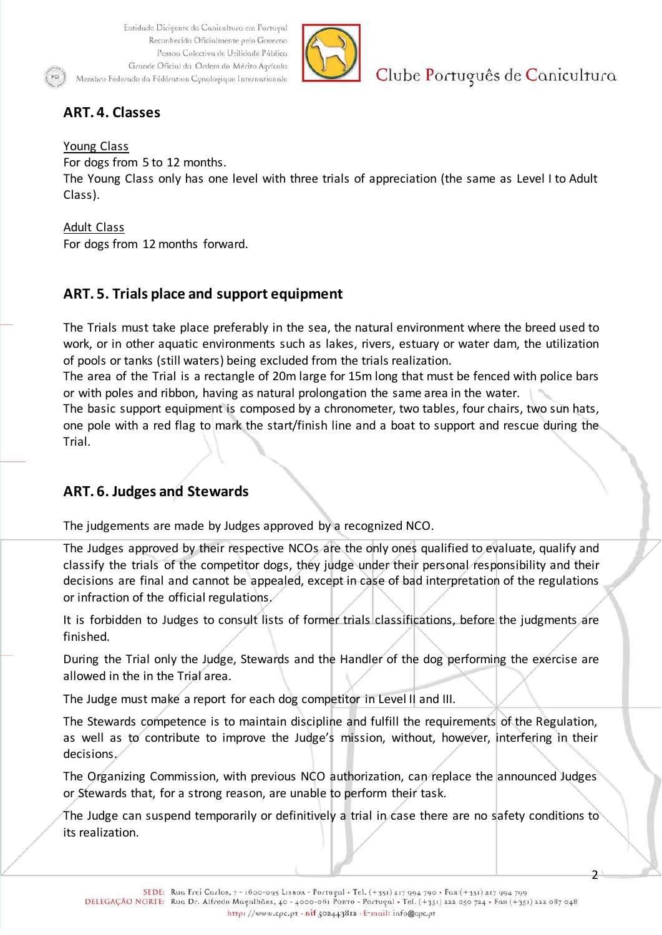

Clube Português de Canicultura

 $\mathcal{P}$ 

# **ART. 4. Classes**

#### Young Class

For dogs from 5 to 12 months.

The Young Class only has one level with three trials of appreciation (the same as Level I to Adult Class).

#### Adult Class

For dogs from 12 months forward.

# **ART. 5. Trials place and support equipment**

The Trials must take place preferably in the sea, the natural environment where the breed used to work, or in other aquatic environments such as lakes, rivers, estuary or water dam, the utilization of pools or tanks (still waters) being excluded from the trials realization.

The area of the Trial is a rectangle of 20m large for 15m long that must be fenced with police bars or with poles and ribbon, having as natural prolongation the same area in the water.

The basic support equipment is composed by a chronometer, two tables, four chairs, two sun hats, one pole with a red flag to mark the start/finish line and a boat to support and rescue during the Trial.

## **ART. 6. Judges and Stewards**

The judgements are made by Judges approved by a recognized NCO.

The Judges approved by their respective NCOs are the only ones qualified to evaluate, qualify and classify the trials of the competitor dogs, they judge under their personal responsibility and their decisions are final and cannot be appealed, except in case of bad interpretation of the regulations or infraction of the official regulations.

It is forbidden to Judges to consult lists of former trials classifications, before the judgments are finished.

During the Trial only the Judge, Stewards and the Handler of the dog performing the exercise are allowed in the in the Trial area.

The Judge must make a report for each dog competitor in Level II and III.

The Stewards competence is to maintain discipline and fulfill the requirements of the Regulation, as well as to contribute to improve the Judge's mission, without, however, interfering in their decisions.

The Organizing Commission, with previous NCO authorization, can replace the announced Judges or Stewards that, for a strong reason, are unable to perform their task.

The Judge can suspend temporarily or definitively a trial in case there are no safety conditions to its realization.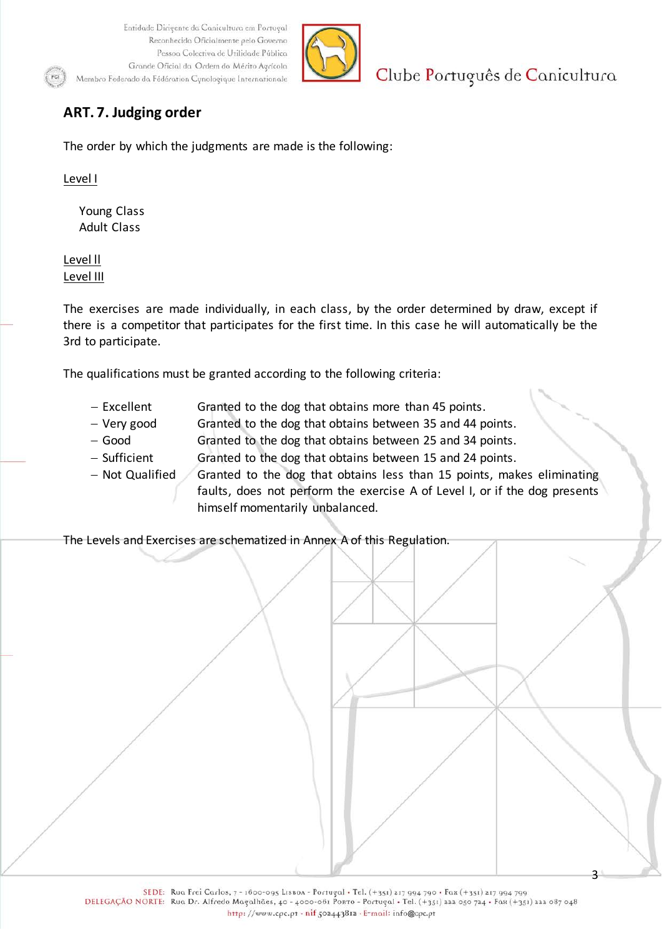

Clube Português de Canicultura

3

# **ART. 7. Judging order**

The order by which the judgments are made is the following:

Level I

Young Class Adult Class

Level ll Level III

The exercises are made individually, in each class, by the order determined by draw, except if there is a competitor that participates for the first time. In this case he will automatically be the 3rd to participate.

The qualifications must be granted according to the following criteria:

- − Excellent Granted to the dog that obtains more than 45 points.
- − Very good Granted to the dog that obtains between 35 and 44 points.
- − Good Granted to the dog that obtains between 25 and 34 points.
- − Sufficient Granted to the dog that obtains between 15 and 24 points.
- − Not Qualified Granted to the dog that obtains less than 15 points, makes eliminating faults, does not perform the exercise A of Level I, or if the dog presents himself momentarily unbalanced.

The Levels and Exercises are schematized in Annex A of this Regulation.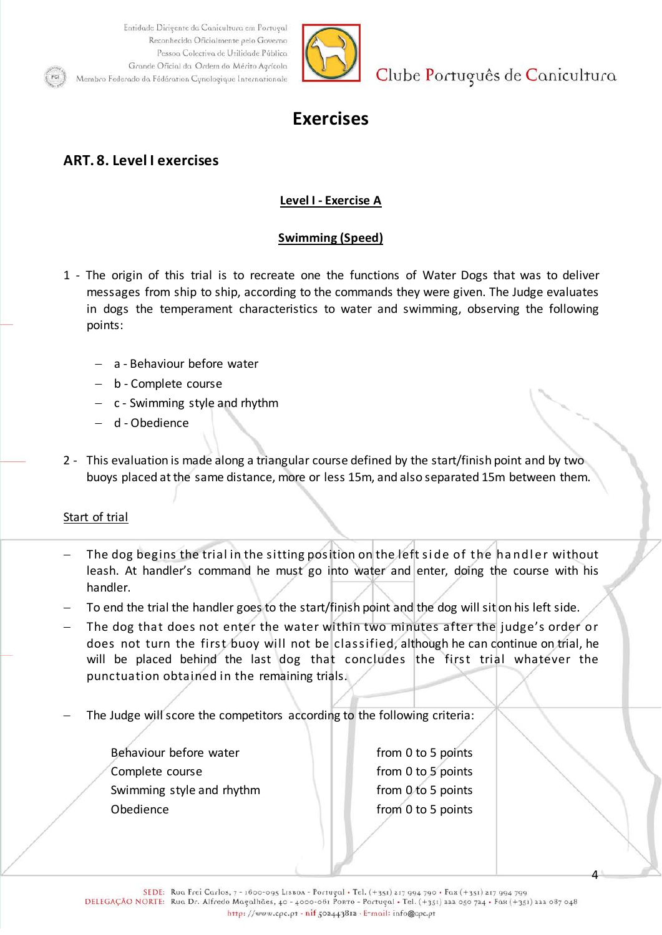

Clube Português de Canicultura

# **Exercises**

# **ART. 8. Level I exercises**

### **Level I - Exercise A**

### **Swimming (Speed)**

- 1 The origin of this trial is to recreate one the functions of Water Dogs that was to deliver messages from ship to ship, according to the commands they were given. The Judge evaluates in dogs the temperament characteristics to water and swimming, observing the following points:
	- − a Behaviour before water
	- − b Complete course
	- − c Swimming style and rhythm
	- − d Obedience
- 2 This evaluation is made along a triangular course defined by the start/finish point and by two buoys placed at the same distance, more or less 15m, and also separated 15m between them.

#### Start of trial

- The dog begins the trial in the sitting position on the left side of the handler without leash. At handler's command he must go into water and enter, doing the course with his handler.
- To end the trial the handler goes to the start/finish point and the dog will sit on his left side.
- The dog that does not enter the water within two minutes after the judge's order or does not turn the first buoy will not be classified, although he can continue on trial, he will be placed behind the last dog that concludes the first trial whatever the punctuation obtained in the remaining trials.
- The Judge will score the competitors according to the following criteria:
	- Behaviour before water **From 0** to 5 points Complete course **from** 0 to 5 points Swimming style and rhythm from 0 to 5 points Obedience **from 0 to 5 points**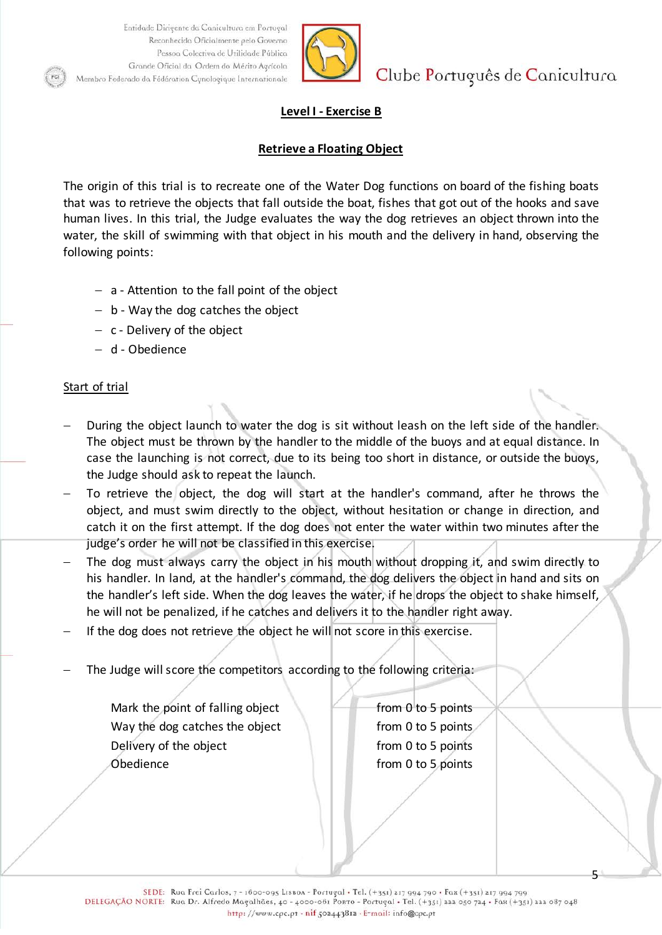

Clube Português de Canicultura

### **Level I - Exercise B**

#### **Retrieve a Floating Object**

The origin of this trial is to recreate one of the Water Dog functions on board of the fishing boats that was to retrieve the objects that fall outside the boat, fishes that got out of the hooks and save human lives. In this trial, the Judge evaluates the way the dog retrieves an object thrown into the water, the skill of swimming with that object in his mouth and the delivery in hand, observing the following points:

- − a Attention to the fall point of the object
- − b Way the dog catches the object
- − c Delivery of the object
- − d Obedience

#### Start of trial

- During the object launch to water the dog is sit without leash on the left side of the handler. The object must be thrown by the handler to the middle of the buoys and at equal distance. In case the launching is not correct, due to its being too short in distance, or outside the buoys, the Judge should ask to repeat the launch.
- To retrieve the object, the dog will start at the handler's command, after he throws the object, and must swim directly to the object, without hesitation or change in direction, and catch it on the first attempt. If the dog does not enter the water within two minutes after the judge's order he will not be classified in this exercise.
- The dog must always carry the object in his mouth without dropping it, and swim directly to his handler. In land, at the handler's command, the dog delivers the object in hand and sits on the handler's left side. When the dog leaves the water, if he drops the object to shake himself, he will not be penalized, if he catches and delivers it to the handler right away.
- If the dog does not retrieve the object he will not score in this exercise.
- The Judge will score the competitors according to the following criteria:

Mark the point of falling object  $\Box$  from 0 to 5 points Way the dog catches the object  $\blacksquare$  from 0 to 5 points Delivery of the object from 0 to 5 points Obedience **from 0 to 5 points**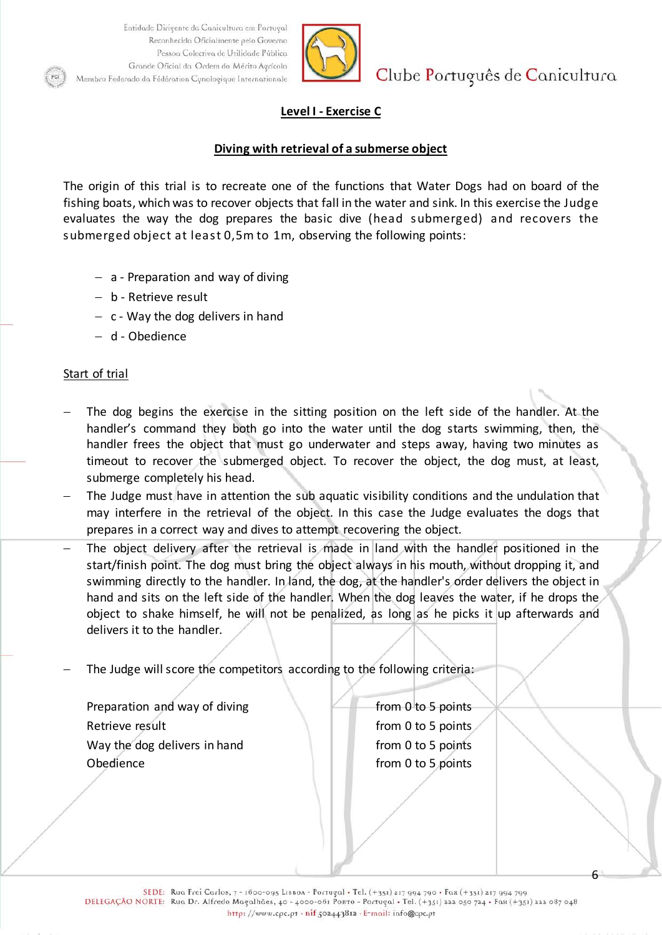

Clube Português de Canicultura

### **Level I - Exercise C**

#### **Diving with retrieval of a submerse object**

The origin of this trial is to recreate one of the functions that Water Dogs had on board of the fishing boats, which was to recover objects that fall in the water and sink. In this exercise the Judge evaluates the way the dog prepares the basic dive (head submerged) and recovers the submerged object at least 0,5m to 1m, observing the following points:

- − a Preparation and way of diving
- − b Retrieve result
- − c Way the dog delivers in hand
- − d Obedience

#### Start of trial

- The dog begins the exercise in the sitting position on the left side of the handler. At the handler's command they both go into the water until the dog starts swimming, then, the handler frees the object that must go underwater and steps away, having two minutes as timeout to recover the submerged object. To recover the object, the dog must, at least, submerge completely his head.
- The Judge must have in attention the sub aquatic visibility conditions and the undulation that may interfere in the retrieval of the object. In this case the Judge evaluates the dogs that prepares in a correct way and dives to attempt recovering the object.
- The object delivery after the retrieval is made in land with the handler positioned in the start/finish point. The dog must bring the object always in his mouth, without dropping it, and swimming directly to the handler. In land, the dog, at the handler's order delivers the object in hand and sits on the left side of the handler. When the dog leaves the water, if he drops the object to shake himself, he will not be penalized, as long as he picks it up afterwards and delivers it to the handler.
- The Judge will score the competitors according to the following criteria:

Preparation and way of diving  $\blacksquare$  from 0 to 5 points Retrieve result **From 0 to 5 points** Way the dog delivers in hand  $f(x) = f(x)$  from 0 to 5 points Obedience **from 0 to 5 points**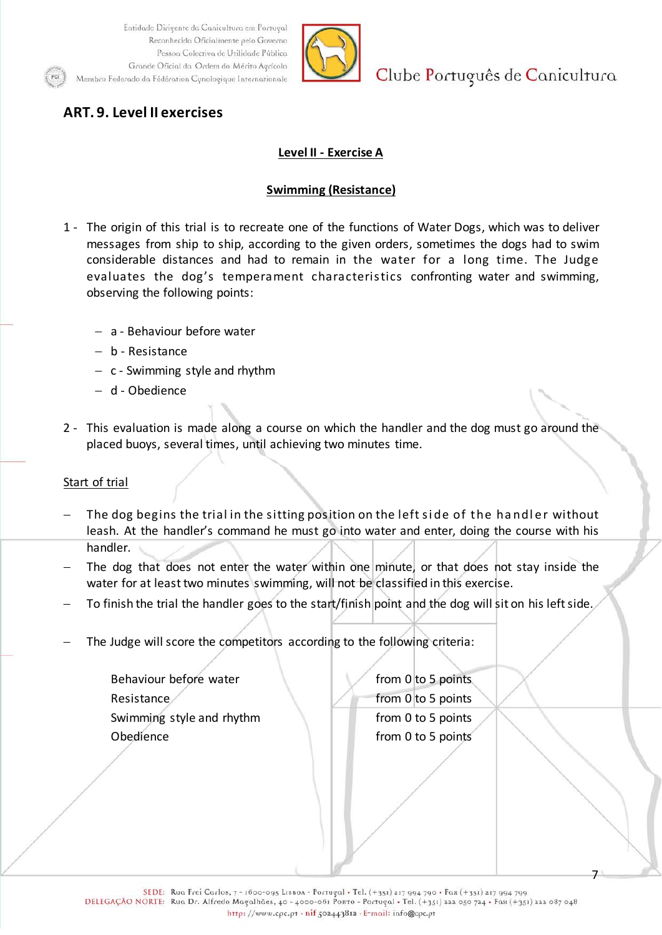

Clube Português de Canicultura

# **ART. 9. Level II exercises**

### **Level II - Exercise A**

### **Swimming (Resistance)**

- 1 The origin of this trial is to recreate one of the functions of Water Dogs, which was to deliver messages from ship to ship, according to the given orders, sometimes the dogs had to swim considerable distances and had to remain in the water for a long time. The Judge evaluates the dog's temperament characteristics confronting water and swimming, observing the following points:
	- − a Behaviour before water
	- − b Resistance
	- − c Swimming style and rhythm
	- − d Obedience
- 2 This evaluation is made along a course on which the handler and the dog must go around the placed buoys, several times, until achieving two minutes time.

#### Start of trial

- The dog begins the trial in the sitting position on the left side of the handler without leash. At the handler's command he must go into water and enter, doing the course with his handler.
- The dog that does not enter the water within one minute, or that does not stay inside the water for at least two minutes swimming, will not be classified in this exercise.
- To finish the trial the handler goes to the start/finish point and the dog will sit on his left side.
- The Judge will score the competitors according to the following criteria:

Behaviour before water from 0 to 5 points Resistance from 0 to 5 points Swimming style and rhythm from 0 to 5 points Obedience from 0 to 5 points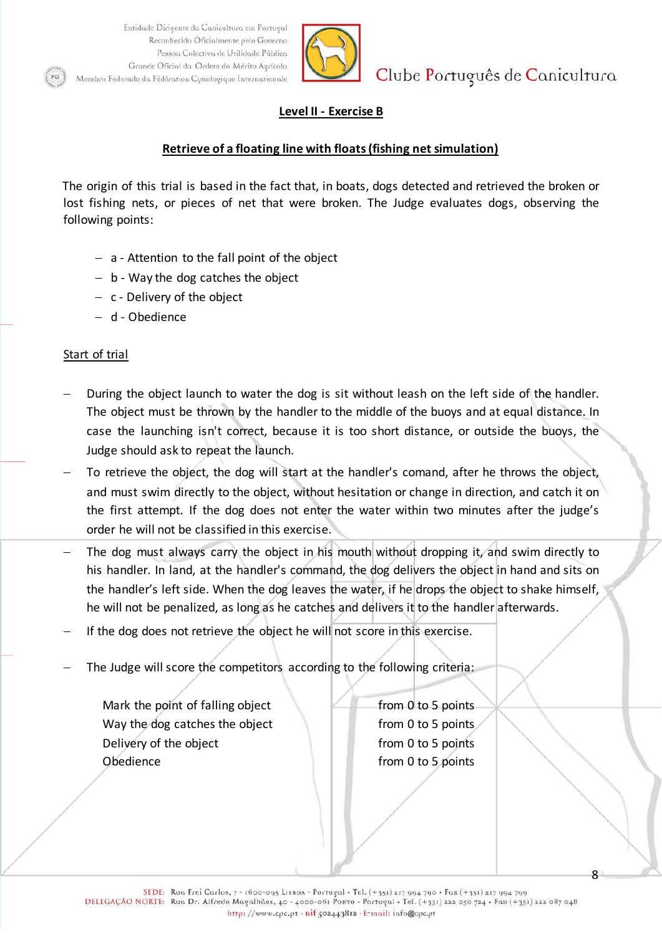

Clube Português de Canicultura

### **Level II - Exercise B**

#### **Retrieve of a floating line with floats (fishing net simulation)**

The origin of this trial is based in the fact that, in boats, dogs detected and retrieved the broken or lost fishing nets, or pieces of net that were broken. The Judge evaluates dogs, observing the following points:

- − a Attention to the fall point of the object
- − b Way the dog catches the object
- − c Delivery of the object
- − d Obedience

#### Start of trial

- During the object launch to water the dog is sit without leash on the left side of the handler. The object must be thrown by the handler to the middle of the buoys and at equal distance. In case the launching isn't correct, because it is too short distance, or outside the buoys, the Judge should ask to repeat the launch.
- To retrieve the object, the dog will start at the handler's comand, after he throws the object, and must swim directly to the object, without hesitation or change in direction, and catch it on the first attempt. If the dog does not enter the water within two minutes after the judge's order he will not be classified in this exercise.
- The dog must always carry the object in his mouth without dropping it, and swim directly to his handler. In land, at the handler's command, the dog delivers the object in hand and sits on the handler's left side. When the dog leaves the water, if he drops the object to shake himself, he will not be penalized, as long as he catches and delivers it to the handler afterwards.
- If the dog does not retrieve the object he will not score in this exercise.
- The Judge will score the competitors according to the following criteria:

Mark the point of falling object  $\Box$  from 0 to 5 points Way the dog catches the object from 0 to 5 points Delivery of the object example from 0 to 5 points Obedience **from 0 to 5 points**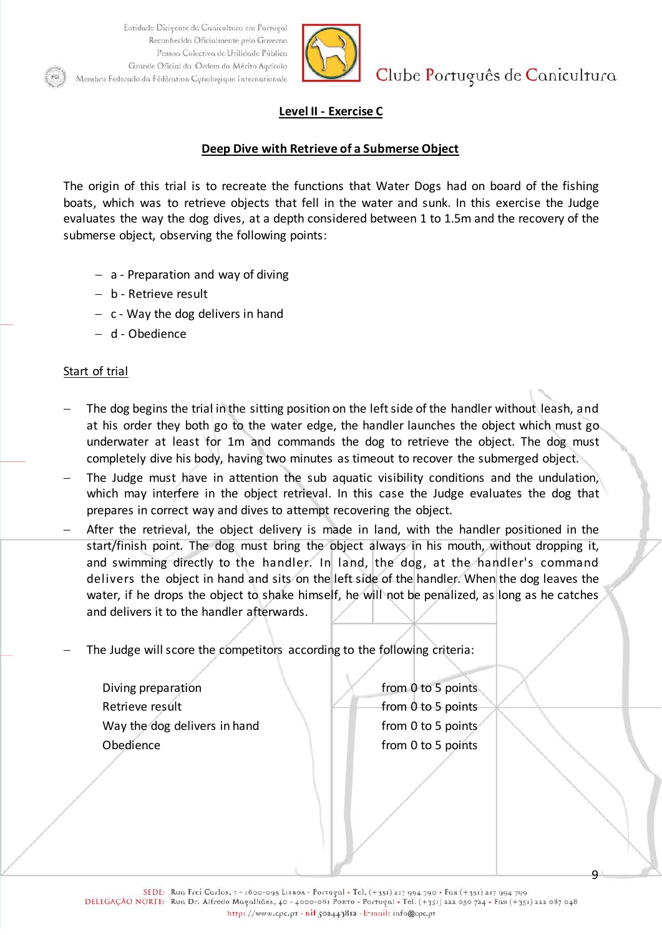

Clube Português de Canicultura

#### **Level II - Exercise C**

#### **Deep Dive with Retrieve of a Submerse Object**

The origin of this trial is to recreate the functions that Water Dogs had on board of the fishing boats, which was to retrieve objects that fell in the water and sunk. In this exercise the Judge evaluates the way the dog dives, at a depth considered between 1 to 1.5m and the recovery of the submerse object, observing the following points:

- − a Preparation and way of diving
- − b Retrieve result
- − c Way the dog delivers in hand
- − d Obedience

#### Start of trial

- The dog begins the trial in the sitting position on the left side of the handler without leash, and at his order they both go to the water edge, the handler launches the object which must go underwater at least for 1m and commands the dog to retrieve the object. The dog must completely dive his body, having two minutes as timeout to recover the submerged object.
- The Judge must have in attention the sub aquatic visibility conditions and the undulation, which may interfere in the object retrieval. In this case the Judge evaluates the dog that prepares in correct way and dives to attempt recovering the object.
- After the retrieval, the object delivery is made in land, with the handler positioned in the start/finish point. The dog must bring the object always in his mouth, without dropping it, and swimming directly to the handler. In land, the dog, at the handler's command delivers the object in hand and sits on the left side of the handler. When the dog leaves the water, if he drops the object to shake himself, he will not be penalized, as long as he catches and delivers it to the handler afterwards.
- The Judge will score the competitors according to the following criteria:

Diving preparation and the set of the set of the points of the points of the set of the set of the set of the set of the set of the set of the set of the set of the set of the set of the set of the set of the set of the se Retrieve result **the contract of the Contract of the Contract of the Contract of the Contract of the Contract of the Contract of the Contract of the Contract of the Contract of the Contract of the Contract of the Contract** Way the dog delivers in hand  $\blacksquare$  from 0 to 5 points Obedience from 0 to 5 points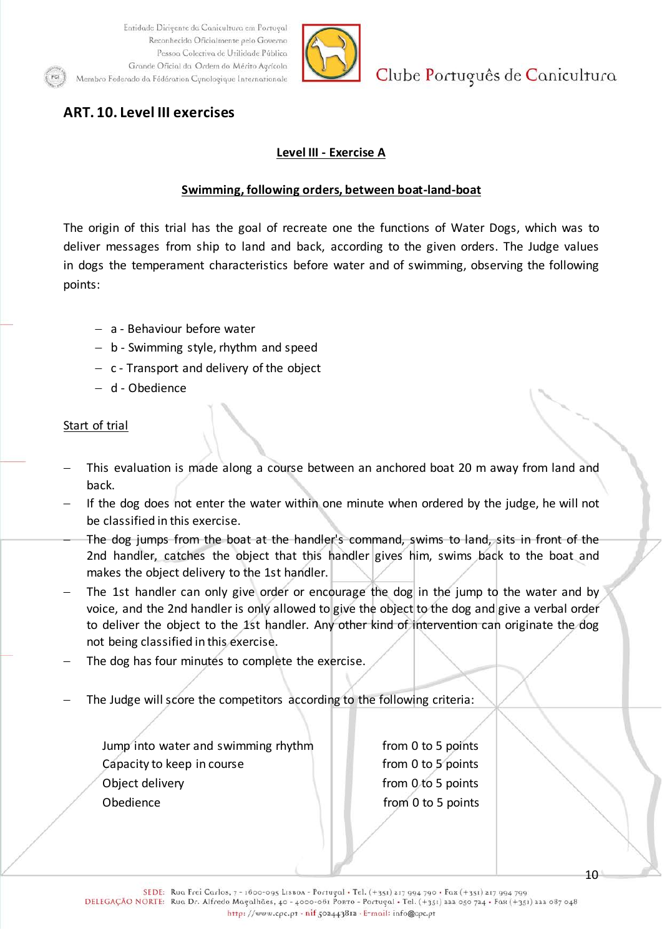

Clube Português de Canicultura

## **ART. 10. Level III exercises**

### **Level III - Exercise A**

#### **Swimming, following orders, between boat-land-boat**

The origin of this trial has the goal of recreate one the functions of Water Dogs, which was to deliver messages from ship to land and back, according to the given orders. The Judge values in dogs the temperament characteristics before water and of swimming, observing the following points:

- − a Behaviour before water
- − b Swimming style, rhythm and speed
- − c Transport and delivery of the object
- − d Obedience

### Start of trial

- This evaluation is made along a course between an anchored boat 20 m away from land and back.
- If the dog does not enter the water within one minute when ordered by the judge, he will not be classified in this exercise.
- The dog jumps from the boat at the handler's command, swims to land, sits in front of the 2nd handler, catches the object that this handler gives him, swims back to the boat and makes the object delivery to the 1st handler.
- The 1st handler can only give order or encourage the dog in the jump to the water and by voice, and the 2nd handler is only allowed to give the object to the dog and give a verbal order to deliver the object to the 1st handler. Any other kind of intervention can originate the dog not being classified in this exercise.
- The dog has four minutes to complete the exercise.
- The Judge will score the competitors according to the following criteria:

Jump into water and swimming rhythm from 0 to 5 points Capacity to keep in course **from 0** to 5 points Object delivery example of the state of the from 0 to 5 points Obedience **from 0 to 5 points**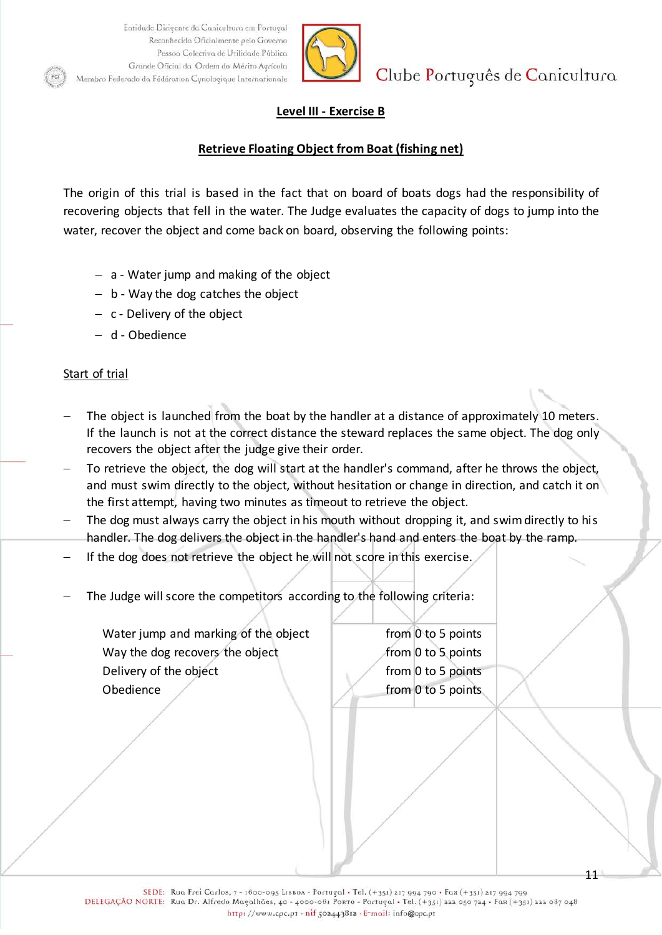

Clube Português de Canicultura

### **Level III - Exercise B**

#### **Retrieve Floating Object from Boat (fishing net)**

The origin of this trial is based in the fact that on board of boats dogs had the responsibility of recovering objects that fell in the water. The Judge evaluates the capacity of dogs to jump into the water, recover the object and come back on board, observing the following points:

- − a Water jump and making of the object
- − b Way the dog catches the object
- − c Delivery of the object
- − d Obedience

#### Start of trial

- The object is launched from the boat by the handler at a distance of approximately 10 meters. If the launch is not at the correct distance the steward replaces the same object. The dog only recovers the object after the judge give their order.
- To retrieve the object, the dog will start at the handler's command, after he throws the object, and must swim directly to the object, without hesitation or change in direction, and catch it on the first attempt, having two minutes as timeout to retrieve the object.
- The dog must always carry the object in his mouth without dropping it, and swim directly to his handler. The dog delivers the object in the handler's hand and enters the boat by the ramp.
- If the dog does not retrieve the object he will not score in this exercise.
- The Judge will score the competitors according to the following criteria:

Water jump and marking of the object  $\parallel$  from 0 to 5 points Way the dog recovers the object  $\sim$  from 0 to 5 points Delivery of the object from 0 to 5 points Obedience example from 0 to 5 points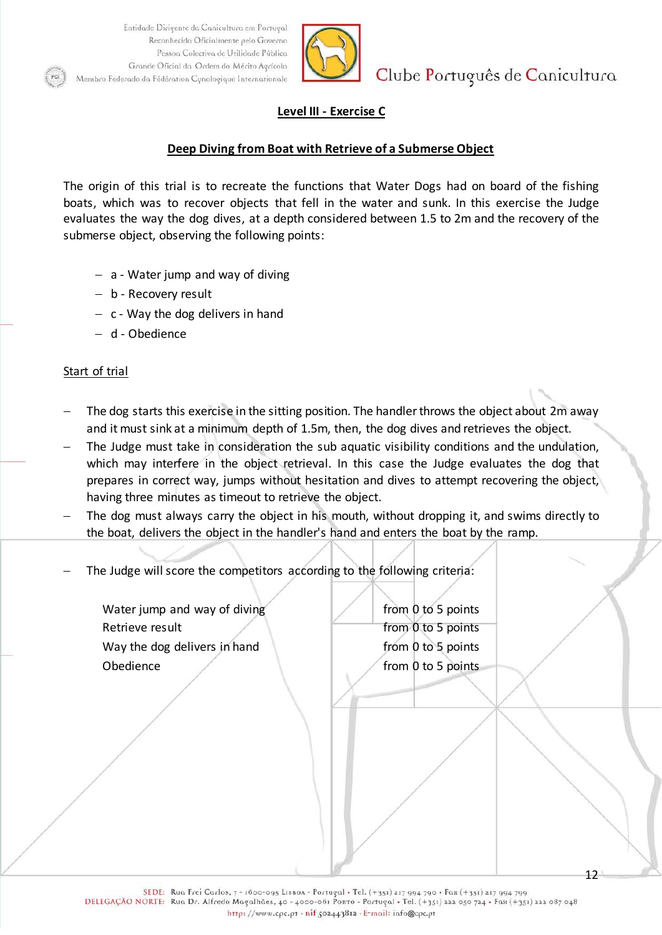

Clube Português de Canicultura

### **Level III - Exercise C**

#### **Deep Diving from Boat with Retrieve of a Submerse Object**

The origin of this trial is to recreate the functions that Water Dogs had on board of the fishing boats, which was to recover objects that fell in the water and sunk. In this exercise the Judge evaluates the way the dog dives, at a depth considered between 1.5 to 2m and the recovery of the submerse object, observing the following points:

- − a Water jump and way of diving
- − b Recovery result
- − c Way the dog delivers in hand
- − d Obedience

#### Start of trial

- The dog starts this exercise in the sitting position. The handler throws the object about 2m away and it must sink at a minimum depth of 1.5m, then, the dog dives and retrieves the object.
- The Judge must take in consideration the sub aquatic visibility conditions and the undulation, which may interfere in the object retrieval. In this case the Judge evaluates the dog that prepares in correct way, jumps without hesitation and dives to attempt recovering the object, having three minutes as timeout to retrieve the object.
- The dog must always carry the object in his mouth, without dropping it, and swims directly to the boat, delivers the object in the handler's hand and enters the boat by the ramp.
- The Judge will score the competitors according to the following criteria:
	- Water jump and way of diving  $\blacksquare$  from 0 to 5 points Retrieve result **From 0 to 5 points** Way the dog delivers in hand  $f$  from 0 to 5 points Obedience and the from 0 to 5 points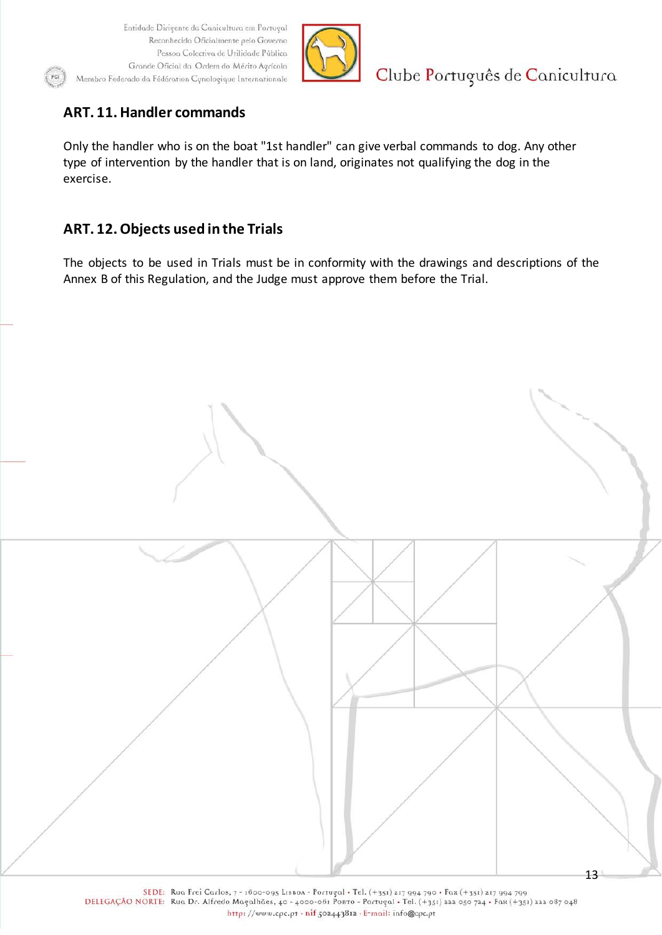

Clube Português de Canicultura

# **ART. 11. Handler commands**

Only the handler who is on the boat "1st handler" can give verbal commands to dog. Any other type of intervention by the handler that is on land, originates not qualifying the dog in the exercise.

## **ART. 12. Objects used in the Trials**

The objects to be used in Trials must be in conformity with the drawings and descriptions of the Annex B of this Regulation, and the Judge must approve them before the Trial.



SEDE: Rua Frei Carlos, 7 - 1600-095 LISBOA - Portugal . Tel. (+351) 217 994 790 . Fax (+351) 217 994 799 DELEGAÇÃO NORTE: Rua Dr. Alfredo Magalhães, 40 - 4000-061 Porto - Portugal • Tel. (+351) 222 050 724 • Fax (+351) 222 087 048 http://www.cpc.pt - nif 502443812 - E-mail: info@cpc.pt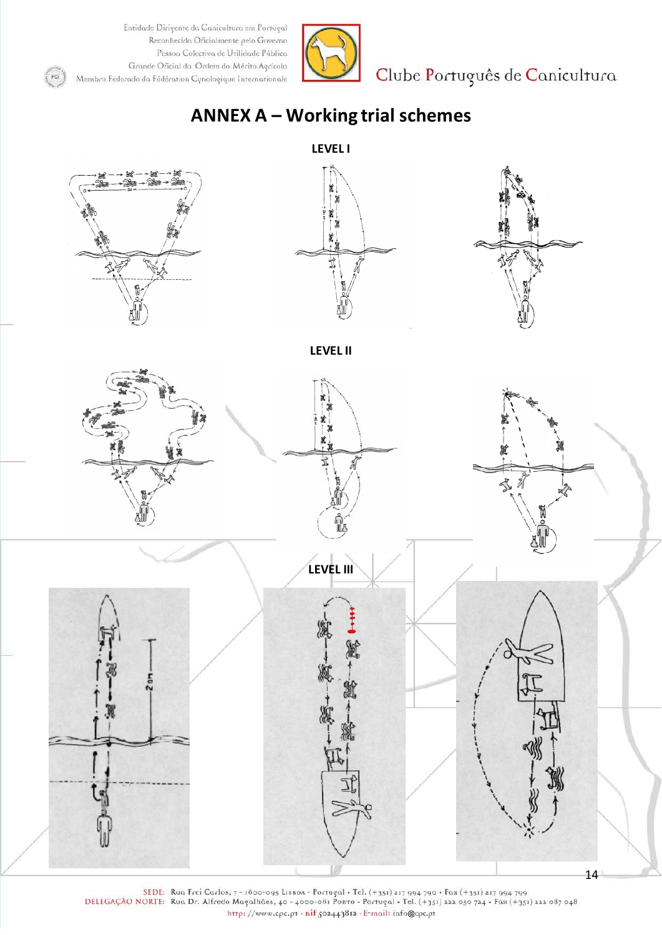$\left($  FCI



Clube Português de Canicultura

# **ANNEX A – Working trial schemes**



SEDE: Rua Frei Carlos, 7 - 1600-095 Lisboa - Portugal • Tel. (+351) 217 994 790 • Fax (+351) 217 994 799<br>DELEGAÇÃO NORTE: Rua Dr. Alfredo Magalhães, 40 - 4000-061 Portugal • Tel. (+351) 222 050 724 • Fax (+351) 222 087 048 http://www.cpc.pt - nif 502443812 - E-mail: info@cpc.pt